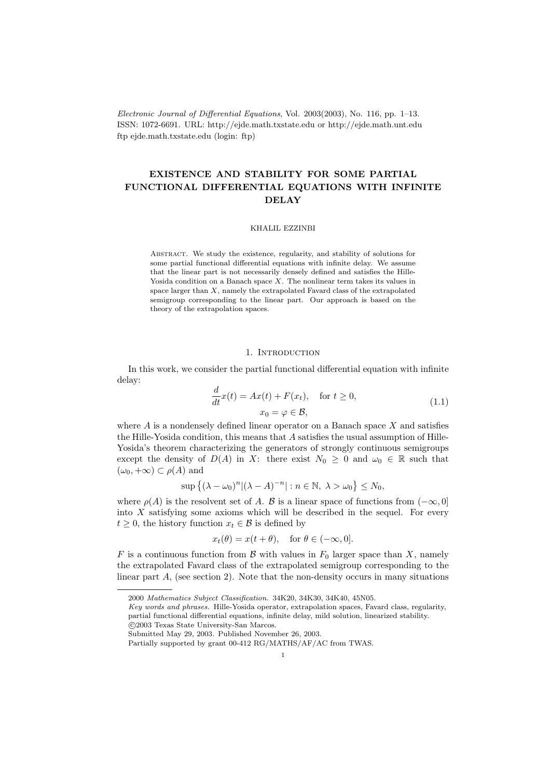Electronic Journal of Differential Equations, Vol. 2003(2003), No. 116, pp. 1–13. ISSN: 1072-6691. URL: http://ejde.math.txstate.edu or http://ejde.math.unt.edu ftp ejde.math.txstate.edu (login: ftp)

# EXISTENCE AND STABILITY FOR SOME PARTIAL FUNCTIONAL DIFFERENTIAL EQUATIONS WITH INFINITE DELAY

## KHALIL EZZINBI

Abstract. We study the existence, regularity, and stability of solutions for some partial functional differential equations with infinite delay. We assume that the linear part is not necessarily densely defined and satisfies the Hille-Yosida condition on a Banach space  $X$ . The nonlinear term takes its values in space larger than  $X$ , namely the extrapolated Favard class of the extrapolated semigroup corresponding to the linear part. Our approach is based on the theory of the extrapolation spaces.

#### 1. INTRODUCTION

In this work, we consider the partial functional differential equation with infinite delay:

$$
\frac{d}{dt}x(t) = Ax(t) + F(x_t), \quad \text{for } t \ge 0,
$$
\n
$$
x_0 = \varphi \in \mathcal{B},
$$
\n(1.1)

where  $A$  is a nondensely defined linear operator on a Banach space  $X$  and satisfies the Hille-Yosida condition, this means that  $A$  satisfies the usual assumption of Hille-Yosida's theorem characterizing the generators of strongly continuous semigroups except the density of  $D(A)$  in X: there exist  $N_0 \geq 0$  and  $\omega_0 \in \mathbb{R}$  such that  $(\omega_0, +\infty) \subset \rho(A)$  and

$$
\sup\left\{(\lambda-\omega_0)^n | (\lambda-A)^{-n}| : n \in \mathbb{N}, \ \lambda > \omega_0\right\} \le N_0,
$$

where  $\rho(A)$  is the resolvent set of A. B is a linear space of functions from  $(-\infty, 0]$ into  $X$  satisfying some axioms which will be described in the sequel. For every  $t \geq 0$ , the history function  $x_t \in \mathcal{B}$  is defined by

$$
x_t(\theta) = x(t + \theta)
$$
, for  $\theta \in (-\infty, 0]$ .

F is a continuous function from B with values in  $F_0$  larger space than X, namely the extrapolated Favard class of the extrapolated semigroup corresponding to the linear part  $A$ , (see section 2). Note that the non-density occurs in many situations

<sup>2000</sup> Mathematics Subject Classification. 34K20, 34K30, 34K40, 45N05.

Key words and phrases. Hille-Yosida operator, extrapolation spaces, Favard class, regularity, partial functional differential equations, infinite delay, mild solution, linearized stability. c 2003 Texas State University-San Marcos.

Submitted May 29, 2003. Published November 26, 2003.

Partially supported by grant 00-412 RG/MATHS/AF/AC from TWAS.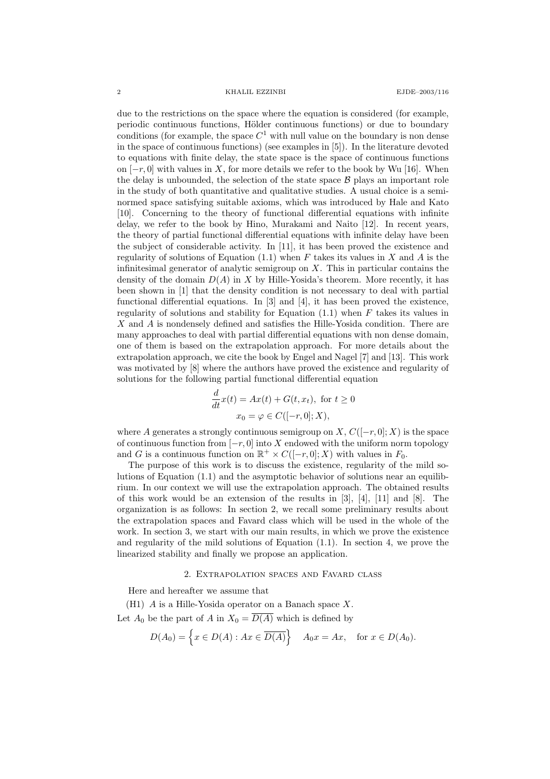2 KHALIL EZZINBI EJDE–2003/116

due to the restrictions on the space where the equation is considered (for example, periodic continuous functions, Hölder continuous functions) or due to boundary conditions (for example, the space  $C^1$  with null value on the boundary is non dense in the space of continuous functions) (see examples in [5]). In the literature devoted to equations with finite delay, the state space is the space of continuous functions on  $[-r, 0]$  with values in X, for more details we refer to the book by Wu [16]. When the delay is unbounded, the selection of the state space  $\beta$  plays an important role in the study of both quantitative and qualitative studies. A usual choice is a seminormed space satisfying suitable axioms, which was introduced by Hale and Kato [10]. Concerning to the theory of functional differential equations with infinite delay, we refer to the book by Hino, Murakami and Naito [12]. In recent years, the theory of partial functional differential equations with infinite delay have been the subject of considerable activity. In [11], it has been proved the existence and regularity of solutions of Equation  $(1.1)$  when F takes its values in X and A is the infinitesimal generator of analytic semigroup on  $X$ . This in particular contains the density of the domain  $D(A)$  in X by Hille-Yosida's theorem. More recently, it has been shown in [1] that the density condition is not necessary to deal with partial functional differential equations. In [3] and [4], it has been proved the existence, regularity of solutions and stability for Equation  $(1.1)$  when F takes its values in X and A is nondensely defined and satisfies the Hille-Yosida condition. There are many approaches to deal with partial differential equations with non dense domain, one of them is based on the extrapolation approach. For more details about the extrapolation approach, we cite the book by Engel and Nagel [7] and [13]. This work was motivated by [8] where the authors have proved the existence and regularity of solutions for the following partial functional differential equation

$$
\frac{d}{dt}x(t) = Ax(t) + G(t, x_t), \text{ for } t \ge 0
$$

$$
x_0 = \varphi \in C([-r, 0]; X),
$$

where A generates a strongly continuous semigroup on  $X, C([-r, 0]; X)$  is the space of continuous function from  $[-r, 0]$  into X endowed with the uniform norm topology and G is a continuous function on  $\mathbb{R}^+ \times C([-r, 0]; X)$  with values in  $F_0$ .

The purpose of this work is to discuss the existence, regularity of the mild solutions of Equation (1.1) and the asymptotic behavior of solutions near an equilibrium. In our context we will use the extrapolation approach. The obtained results of this work would be an extension of the results in  $[3]$ ,  $[4]$ ,  $[11]$  and  $[8]$ . The organization is as follows: In section 2, we recall some preliminary results about the extrapolation spaces and Favard class which will be used in the whole of the work. In section 3, we start with our main results, in which we prove the existence and regularity of the mild solutions of Equation  $(1.1)$ . In section 4, we prove the linearized stability and finally we propose an application.

### 2. Extrapolation spaces and Favard class

Here and hereafter we assume that

(H1) A is a Hille-Yosida operator on a Banach space X.

Let  $A_0$  be the part of A in  $X_0 = \overline{D(A)}$  which is defined by

$$
D(A_0) = \left\{ x \in D(A) : Ax \in \overline{D(A)} \right\} \quad A_0x = Ax, \quad \text{for } x \in D(A_0).
$$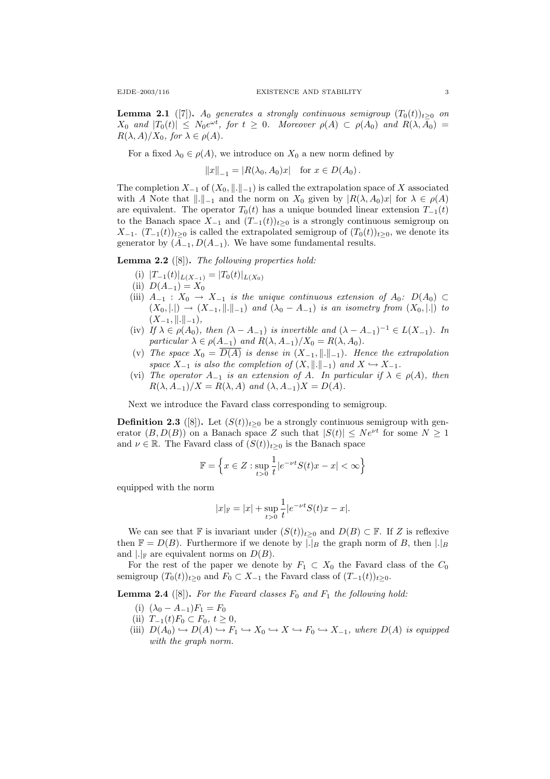**Lemma 2.1** ([7]). A<sub>0</sub> generates a strongly continuous semigroup  $(T_0(t))_{t>0}$  on  $X_0$  and  $|T_0(t)| \leq N_0 e^{\omega t}$ , for  $t \geq 0$ . Moreover  $\rho(A) \subset \rho(A_0)$  and  $R(\lambda, A_0) =$  $R(\lambda, A)/X_0$ , for  $\lambda \in \rho(A)$ .

For a fixed  $\lambda_0 \in \rho(A)$ , we introduce on  $X_0$  a new norm defined by

 $||x||_{-1} = |R(\lambda_0, A_0)x|$  for  $x \in D(A_0)$ .

The completion  $X_{-1}$  of  $(X_0, \|\cdot\|_{-1})$  is called the extrapolation space of X associated with A Note that  $\|.\|_{-1}$  and the norm on  $X_0$  given by  $|R(\lambda, A_0)x|$  for  $\lambda \in \rho(A)$ are equivalent. The operator  $T_0(t)$  has a unique bounded linear extension  $T_{-1}(t)$ to the Banach space  $X_{-1}$  and  $(T_{-1}(t))_{t>0}$  is a strongly continuous semigroup on  $X_{-1}$ .  $(T_{-1}(t))_{t>0}$  is called the extrapolated semigroup of  $(T_0(t))_{t>0}$ , we denote its generator by  $(A_{-1}, D(A_{-1})$ . We have some fundamental results.

**Lemma 2.2** ([8]). The following properties hold:

- (i)  $|T_{-1}(t)|_{L(X_{-1})} = |T_0(t)|_{L(X_0)}$
- (ii)  $D(A_{-1}) = X_0$
- (iii)  $A_{-1}$  :  $X_0 \rightarrow X_{-1}$  is the unique continuous extension of  $A_0$ :  $D(A_0) \subset$  $(X_0, |.) \to (X_{-1}, ||.||_{-1})$  and  $(\lambda_0 - A_{-1})$  is an isometry from  $(X_0, |.)$  to  $(X_{-1}, \|\. \|_{-1}),$
- (iv) If  $\lambda \in \rho(A_0)$ , then  $(\lambda A_{-1})$  is invertible and  $(\lambda A_{-1})^{-1} \in L(X_{-1})$ . In particular  $\lambda \in \rho(A_{-1})$  and  $R(\lambda, A_{-1})/X_0 = R(\lambda, A_0)$ .
- (v) The space  $X_0 = \overline{D(A)}$  is dense in  $(X_{-1}, \|.\|_{-1})$ . Hence the extrapolation space  $X_{-1}$  is also the completion of  $(X, \|\cdot\|_{-1})$  and  $X \hookrightarrow X_{-1}$ .
- (vi) The operator  $A_{-1}$  is an extension of A. In particular if  $\lambda \in \rho(A)$ , then  $R(\lambda, A_{-1})/X = R(\lambda, A)$  and  $(\lambda, A_{-1})X = D(A)$ .

Next we introduce the Favard class corresponding to semigroup.

**Definition 2.3** ([8]). Let  $(S(t))_{t>0}$  be a strongly continuous semigroup with generator  $(B, D(B))$  on a Banach space Z such that  $|S(t)| \leq Ne^{\nu t}$  for some  $N \geq 1$ and  $\nu \in \mathbb{R}$ . The Favard class of  $(S(t))_{t>0}$  is the Banach space

$$
\mathbb{F} = \left\{ x \in Z : \sup_{t>0} \frac{1}{t} |e^{-\nu t} S(t)x - x| < \infty \right\}
$$

equipped with the norm

$$
|x|_{\mathbb{F}} = |x| + \sup_{t>0} \frac{1}{t} |e^{-\nu t} S(t)x - x|.
$$

We can see that F is invariant under  $(S(t))_{t>0}$  and  $D(B) \subset \mathbb{F}$ . If Z is reflexive then  $\mathbb{F} = D(B)$ . Furthermore if we denote by  $|.|_B$  the graph norm of B, then  $|.|_B$ and  $\lvert \cdot \rvert_F$  are equivalent norms on  $D(B)$ .

For the rest of the paper we denote by  $F_1 \subset X_0$  the Favard class of the  $C_0$ semigroup  $(T_0(t))_{t>0}$  and  $F_0 \subset X_{-1}$  the Favard class of  $(T_{-1}(t))_{t>0}$ .

**Lemma 2.4** ([8]). For the Favard classes  $F_0$  and  $F_1$  the following hold:

(i)  $(\lambda_0 - A_{-1})F_1 = F_0$ 

(ii)  $T_{-1}(t)F_0 \subset F_0, t \ge 0,$ 

(iii)  $D(A_0) \hookrightarrow D(A) \hookrightarrow F_1 \hookrightarrow X_0 \hookrightarrow X \hookrightarrow F_0 \hookrightarrow X_{-1}$ , where  $D(A)$  is equipped with the graph norm.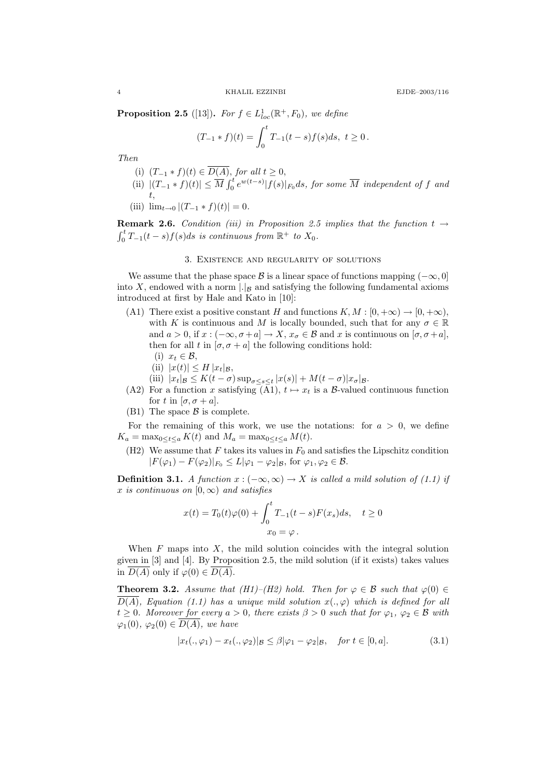**Proposition 2.5** ([13]). For  $f \in L^1_{loc}(\mathbb{R}^+, F_0)$ , we define

$$
(T_{-1} * f)(t) = \int_0^t T_{-1}(t - s) f(s) ds, \ t \ge 0.
$$

Then

- (i)  $(T_{-1} * f)(t) \in D(A)$ , for all  $t ≥ 0$ ,
- (ii)  $|(T_{-1}*f)(t)| \leq \overline{M} \int_0^t e^{w(t-s)} |f(s)|_{F_0} ds$ , for some  $\overline{M}$  independent of f and t,
- (iii)  $\lim_{t\to 0} |(T_{-1} * f)(t)| = 0.$

**Remark 2.6.** Condition (iii) in Proposition 2.5 implies that the function  $t \rightarrow$  $\int_0^t T_{-1}(t-s)f(s)ds$  is continuous from  $\mathbb{R}^+$  to  $X_0$ .

#### 3. Existence and regularity of solutions

We assume that the phase space B is a linear space of functions mapping  $(-\infty, 0]$ into X, endowed with a norm  $\lfloor \cdot \rfloor_B$  and satisfying the following fundamental axioms introduced at first by Hale and Kato in [10]:

- (A1) There exist a positive constant H and functions  $K, M : [0, +\infty) \to [0, +\infty)$ , with K is continuous and M is locally bounded, such that for any  $\sigma \in \mathbb{R}$ and  $a > 0$ , if  $x : (-\infty, \sigma + a] \to X$ ,  $x_{\sigma} \in \mathcal{B}$  and x is continuous on  $[\sigma, \sigma + a]$ , then for all t in  $[\sigma, \sigma + a]$  the following conditions hold:
	- (i)  $x_t \in \mathcal{B}$ ,
	- (ii)  $|x(t)| \leq H |x_t|_{\mathcal{B}}$ ,
	- (iii)  $|x_t|_{\mathcal{B}} \leq K(t-\sigma) \sup_{\sigma \leq s \leq t} |x(s)| + M(t-\sigma)|x_{\sigma}|_{\mathcal{B}}.$
- (A2) For a function x satisfying  $(\bar{A}1), t \mapsto x_t$  is a B-valued continuous function for t in  $[\sigma, \sigma + a]$ .
- (B1) The space  $\beta$  is complete.

For the remaining of this work, we use the notations: for  $a > 0$ , we define  $K_a = \max_{0 \le t \le a} K(t)$  and  $M_a = \max_{0 \le t \le a} M(t)$ .

(H2) We assume that F takes its values in  $F_0$  and satisfies the Lipschitz condition  $|F(\varphi_1) - F(\varphi_2)|_{F_0} \le L|\varphi_1 - \varphi_2|_{\mathcal{B}}$ , for  $\varphi_1, \varphi_2 \in \mathcal{B}$ .

**Definition 3.1.** A function  $x : (-\infty, \infty) \rightarrow X$  is called a mild solution of (1.1) if x is continuous on  $[0, \infty)$  and satisfies

$$
x(t) = T_0(t)\varphi(0) + \int_0^t T_{-1}(t-s)F(x_s)ds, \quad t \ge 0
$$
  

$$
x_0 = \varphi.
$$

When  $F$  maps into  $X$ , the mild solution coincides with the integral solution given in [3] and [4]. By Proposition 2.5, the mild solution (if it exists) takes values in  $\overline{D(A)}$  only if  $\varphi(0) \in \overline{D(A)}$ .

**Theorem 3.2.** Assume that (H1)–(H2) hold. Then for  $\varphi \in \mathcal{B}$  such that  $\varphi(0) \in$  $\overline{D(A)}$ , Equation (1.1) has a unique mild solution  $x(.,\varphi)$  which is defined for all  $t \geq 0$ . Moreover for every  $a > 0$ , there exists  $\beta > 0$  such that for  $\varphi_1, \varphi_2 \in \mathcal{B}$  with  $\varphi_1(0), \varphi_2(0) \in \overline{D(A)},$  we have

$$
|x_t(.,\varphi_1) - x_t(.,\varphi_2)|_{\mathcal{B}} \le \beta |\varphi_1 - \varphi_2|_{\mathcal{B}}, \quad \text{for } t \in [0,a]. \tag{3.1}
$$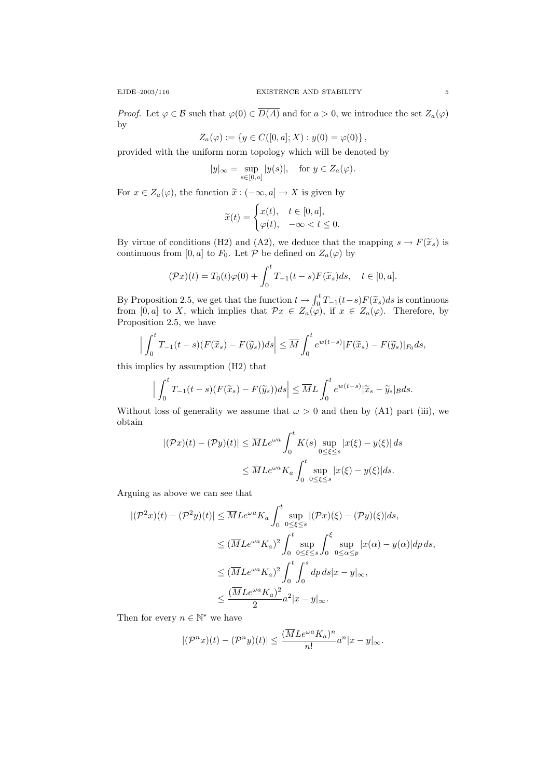*Proof.* Let  $\varphi \in \mathcal{B}$  such that  $\varphi(0) \in \overline{D(A)}$  and for  $a > 0$ , we introduce the set  $Z_a(\varphi)$ by

$$
Z_a(\varphi) := \{ y \in C([0, a]; X) : y(0) = \varphi(0) \},
$$

provided with the uniform norm topology which will be denoted by

$$
|y|_{\infty} = \sup_{s \in [0,a]} |y(s)|, \text{ for } y \in Z_a(\varphi).
$$

For  $x \in Z_a(\varphi)$ , the function  $\tilde{x}: (-\infty, a] \to X$  is given by

$$
\widetilde{x}(t) = \begin{cases} x(t), & t \in [0, a], \\ \varphi(t), & -\infty < t \le 0. \end{cases}
$$

By virtue of conditions (H2) and (A2), we deduce that the mapping  $s \to F(\tilde{x}_s)$  is continuous from [0, a] to  $F_0$ . Let  $\mathcal P$  be defined on  $Z_a(\varphi)$  by

$$
(\mathcal{P}x)(t) = T_0(t)\varphi(0) + \int_0^t T_{-1}(t-s)F(\widetilde{x}_s)ds, \quad t \in [0, a].
$$

By Proposition 2.5, we get that the function  $t \to \int_0^t T_{-1}(t-s)F(\tilde{x}_s)ds$  is continuous from [0, a] to X, which implies that  $\mathcal{P}x \in Z_a(\varphi)$ , if  $x \in Z_a(\varphi)$ . Therefore, by Proposition 2.5, we have

$$
\left|\int_0^t T_{-1}(t-s)(F(\widetilde{x}_s) - F(\widetilde{y}_s))ds\right| \leq \overline{M} \int_0^t e^{w(t-s)}|F(\widetilde{x}_s) - F(\widetilde{y}_s)|_{F_0}ds,
$$

this implies by assumption (H2) that

$$
\Big|\int_0^t T_{-1}(t-s)(F(\widetilde{x}_s) - F(\widetilde{y}_s))ds\Big| \leq \overline{M}L \int_0^t e^{w(t-s)}|\widetilde{x}_s - \widetilde{y}_s|_{\mathcal{B}}ds.
$$

Without loss of generality we assume that  $\omega > 0$  and then by (A1) part (iii), we obtain

$$
|(\mathcal{P}x)(t) - (\mathcal{P}y)(t)| \le \overline{M}Le^{\omega a} \int_0^t K(s) \sup_{0 \le \xi \le s} |x(\xi) - y(\xi)| ds
$$
  

$$
\le \overline{M}Le^{\omega a} K_a \int_0^t \sup_{0 \le \xi \le s} |x(\xi) - y(\xi)| ds.
$$

Arguing as above we can see that

$$
\begin{split} |(\mathcal{P}^2x)(t) - (\mathcal{P}^2y)(t)| &\leq \overline{M}Le^{\omega a}K_a \int_0^t \sup_{0 \leq \xi \leq s} |(\mathcal{P}x)(\xi) - (\mathcal{P}y)(\xi)|ds, \\ &\leq (\overline{M}Le^{\omega a}K_a)^2 \int_0^t \sup_{0 \leq \xi \leq s} \int_0^{\xi} \sup_{0 \leq \alpha \leq p} |x(\alpha) - y(\alpha)|dp\,ds, \\ &\leq (\overline{M}Le^{\omega a}K_a)^2 \int_0^t \int_0^s dp\,ds |x - y|_{\infty}, \\ &\leq \frac{(\overline{M}Le^{\omega a}K_a)^2}{2} a^2 |x - y|_{\infty}. \end{split}
$$

Then for every  $n \in \mathbb{N}^*$  we have

$$
|(\mathcal{P}^n x)(t)-(\mathcal{P}^n y)(t)|\leq \frac{(\overline{M}Le^{\omega a}K_a)^n}{n!}a^n|x-y|_\infty.
$$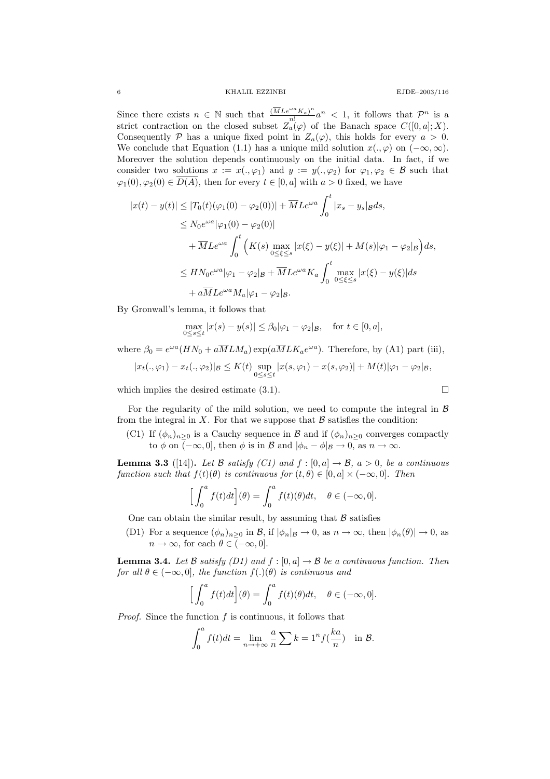Since there exists  $n \in \mathbb{N}$  such that  $\frac{(\overline{M} L e^{\omega a} K_a)^n}{n!}$  $\frac{a_n}{n!}$   $\alpha^n$  < 1, it follows that  $\mathcal{P}^n$  is a strict contraction on the closed subset  $Z_a(\varphi)$  of the Banach space  $C([0, a]; X)$ . Consequently P has a unique fixed point in  $Z_a(\varphi)$ , this holds for every  $a > 0$ . We conclude that Equation (1.1) has a unique mild solution  $x(., \varphi)$  on  $(-\infty, \infty)$ . Moreover the solution depends continuously on the initial data. In fact, if we consider two solutions  $x := x(., \varphi_1)$  and  $y := y(., \varphi_2)$  for  $\varphi_1, \varphi_2 \in \mathcal{B}$  such that  $\varphi_1(0), \varphi_2(0) \in \overline{D(A)}$ , then for every  $t \in [0, a]$  with  $a > 0$  fixed, we have

$$
|x(t) - y(t)| \le |T_0(t)(\varphi_1(0) - \varphi_2(0))| + \overline{M}Le^{\omega a} \int_0^t |x_s - y_s|_{\mathcal{B}} ds,
$$
  
\n
$$
\le N_0 e^{\omega a} |\varphi_1(0) - \varphi_2(0)|
$$
  
\n
$$
+ \overline{M}Le^{\omega a} \int_0^t \left( K(s) \max_{0 \le \xi \le s} |x(\xi) - y(\xi)| + M(s) |\varphi_1 - \varphi_2|_{\mathcal{B}} \right) ds,
$$
  
\n
$$
\le HN_0 e^{\omega a} |\varphi_1 - \varphi_2|_{\mathcal{B}} + \overline{M}Le^{\omega a} K_a \int_0^t \max_{0 \le \xi \le s} |x(\xi) - y(\xi)| ds
$$
  
\n
$$
+ a \overline{M}Le^{\omega a} M_a |\varphi_1 - \varphi_2|_{\mathcal{B}}.
$$

By Gronwall's lemma, it follows that

$$
\max_{0 \le s \le t} |x(s) - y(s)| \le \beta_0 |\varphi_1 - \varphi_2|_{\mathcal{B}}, \quad \text{for } t \in [0, a],
$$

where  $\beta_0 = e^{\omega a} (H N_0 + a \overline{M} L M_a) \exp(a \overline{M} L K_a e^{\omega a})$ . Therefore, by (A1) part (iii),

$$
|x_t(.,\varphi_1) - x_t(.,\varphi_2)|_{\mathcal{B}} \le K(t) \sup_{0 \le s \le t} |x(s,\varphi_1) - x(s,\varphi_2)| + M(t)|\varphi_1 - \varphi_2|_{\mathcal{B}},
$$

which implies the desired estimate (3.1).

For the regularity of the mild solution, we need to compute the integral in  $\beta$ from the integral in X. For that we suppose that  $\mathcal B$  satisfies the condition:

(C1) If  $(\phi_n)_{n\geq 0}$  is a Cauchy sequence in  $\mathcal B$  and if  $(\phi_n)_{n\geq 0}$  converges compactly to  $\phi$  on  $\overline{(-\infty,0]}$ , then  $\phi$  is in  $\mathcal{B}$  and  $|\phi_n - \phi|_{\mathcal{B}} \to 0$ , as  $n \to \infty$ .

**Lemma 3.3** ([14]). Let B satisfy (C1) and  $f : [0, a] \rightarrow \mathcal{B}$ ,  $a > 0$ , be a continuous function such that  $f(t)(\theta)$  is continuous for  $(t, \theta) \in [0, a] \times (-\infty, 0]$ . Then

$$
\Big[\int_0^a f(t)dt\Big](\theta) = \int_0^a f(t)(\theta)dt, \quad \theta \in (-\infty, 0].
$$

One can obtain the similar result, by assuming that  $\beta$  satisfies

(D1) For a sequence  $(\phi_n)_{n\geq 0}$  in  $\mathcal{B}$ , if  $|\phi_n|_{\mathcal{B}} \to 0$ , as  $n \to \infty$ , then  $|\phi_n(\theta)| \to 0$ , as  $n \to \infty$ , for each  $\theta \in (-\infty, 0]$ .

**Lemma 3.4.** Let B satisfy (D1) and  $f : [0, a] \rightarrow B$  be a continuous function. Then for all  $\theta \in (-\infty, 0]$ , the function  $f(.)(\theta)$  is continuous and

$$
\Big[\int_0^a f(t)dt\Big](\theta) = \int_0^a f(t)(\theta)dt, \quad \theta \in (-\infty, 0].
$$

*Proof.* Since the function  $f$  is continuous, it follows that

$$
\int_0^a f(t)dt = \lim_{n \to +\infty} \frac{a}{n} \sum k = 1^n f(\frac{ka}{n}) \text{ in } \mathcal{B}.
$$

$$
\Box
$$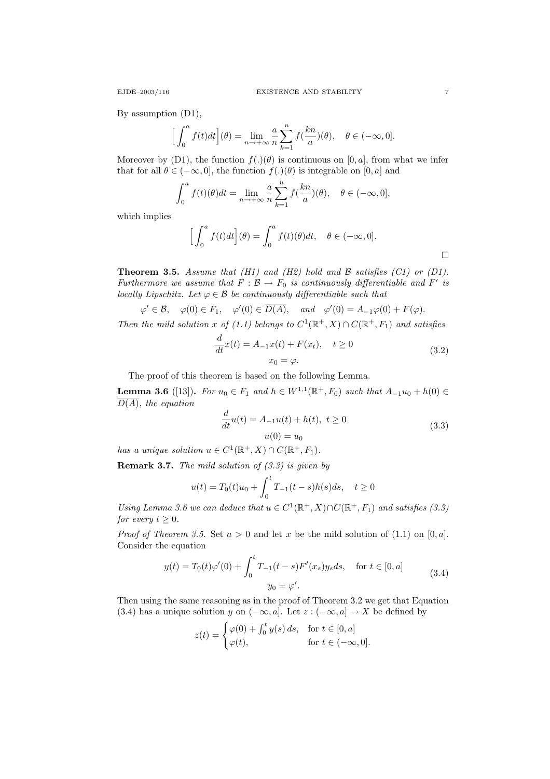By assumption (D1),

$$
\Big[\int_0^a f(t)dt\Big](\theta) = \lim_{n \to +\infty} \frac{a}{n} \sum_{k=1}^n f(\frac{kn}{a})(\theta), \quad \theta \in (-\infty, 0].
$$

Moreover by (D1), the function  $f(.)(\theta)$  is continuous on [0, a], from what we infer that for all  $\theta \in (-\infty, 0]$ , the function  $f(.)(\theta)$  is integrable on [0, a] and

$$
\int_0^a f(t)(\theta)dt = \lim_{n \to +\infty} \frac{a}{n} \sum_{k=1}^n f(\frac{kn}{a})(\theta), \quad \theta \in (-\infty, 0],
$$

which implies

$$
\Big[\int_0^a f(t)dt\Big](\theta) = \int_0^a f(t)(\theta)dt, \quad \theta \in (-\infty, 0].
$$

**Theorem 3.5.** Assume that (H1) and (H2) hold and  $\beta$  satisfies (C1) or (D1). Furthermore we assume that  $F : \mathcal{B} \to F_0$  is continuously differentiable and F' is locally Lipschitz. Let  $\varphi \in \mathcal{B}$  be continuously differentiable such that

$$
\varphi' \in \mathcal{B}, \varphi(0) \in F_1, \varphi'(0) \in \overline{D(A)}, \text{ and } \varphi'(0) = A_{-1}\varphi(0) + F(\varphi).
$$

Then the mild solution x of (1.1) belongs to  $C^1(\mathbb{R}^+, X) \cap C(\mathbb{R}^+, F_1)$  and satisfies

$$
\frac{d}{dt}x(t) = A_{-1}x(t) + F(x_t), \quad t \ge 0
$$
\n
$$
x_0 = \varphi.
$$
\n(3.2)

The proof of this theorem is based on the following Lemma.

**Lemma 3.6** ([13]). For  $u_0 \in F_1$  and  $h \in W^{1,1}(\mathbb{R}^+, F_0)$  such that  $A_{-1}u_0 + h(0) \in$  $\overline{D(A)}$ , the equation

$$
\frac{d}{dt}u(t) = A_{-1}u(t) + h(t), \ t \ge 0
$$
\n
$$
u(0) = u_0
$$
\n(3.3)

has a unique solution  $u \in C^1(\mathbb{R}^+, X) \cap C(\mathbb{R}^+, F_1)$ .

**Remark 3.7.** The mild solution of  $(3.3)$  is given by

$$
u(t) = T_0(t)u_0 + \int_0^t T_{-1}(t-s)h(s)ds, \quad t \ge 0
$$

Using Lemma 3.6 we can deduce that  $u \in C^1(\mathbb{R}^+, X) \cap C(\mathbb{R}^+, F_1)$  and satisfies (3.3) for every  $t \geq 0$ .

*Proof of Theorem 3.5.* Set  $a > 0$  and let x be the mild solution of (1.1) on [0, a]. Consider the equation

$$
y(t) = T_0(t)\varphi'(0) + \int_0^t T_{-1}(t-s)F'(x_s)y_s ds, \quad \text{for } t \in [0, a]
$$
  

$$
y_0 = \varphi'.
$$
 (3.4)

Then using the same reasoning as in the proof of Theorem 3.2 we get that Equation (3.4) has a unique solution y on  $(-\infty, a]$ . Let  $z : (-\infty, a] \to X$  be defined by

$$
z(t) = \begin{cases} \varphi(0) + \int_0^t y(s) \, ds, & \text{for } t \in [0, a] \\ \varphi(t), & \text{for } t \in (-\infty, 0]. \end{cases}
$$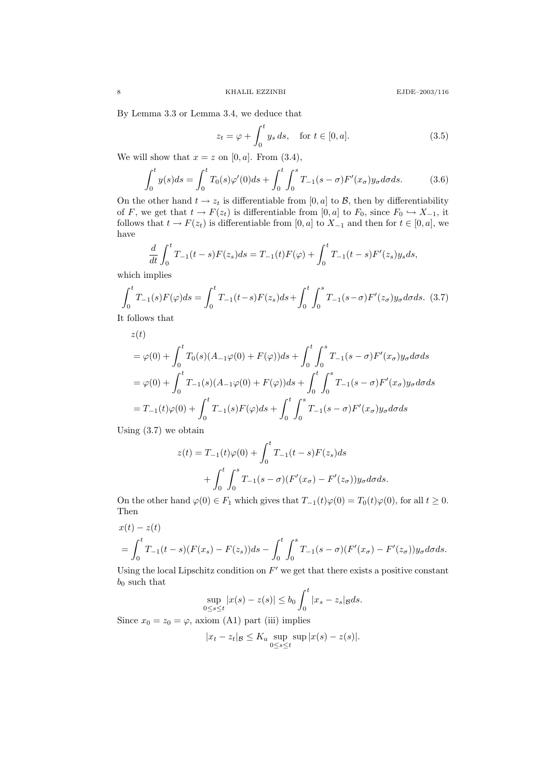By Lemma 3.3 or Lemma 3.4, we deduce that

$$
z_t = \varphi + \int_0^t y_s ds, \quad \text{for } t \in [0, a]. \tag{3.5}
$$

We will show that  $x = z$  on [0, a]. From (3.4),

$$
\int_0^t y(s)ds = \int_0^t T_0(s)\varphi'(0)ds + \int_0^t \int_0^s T_{-1}(s-\sigma)F'(x_{\sigma})y_{\sigma}d\sigma ds.
$$
 (3.6)

On the other hand  $t \to z_t$  is differentiable from [0, a] to  $\mathcal{B}$ , then by differentiability of F, we get that  $t \to F(z_t)$  is differentiable from [0, a] to  $F_0$ , since  $F_0 \hookrightarrow X_{-1}$ , it follows that  $t \to F(z_t)$  is differentiable from [0, a] to  $X_{-1}$  and then for  $t \in [0, a]$ , we have

$$
\frac{d}{dt} \int_0^t T_{-1}(t-s) F(z_s) ds = T_{-1}(t) F(\varphi) + \int_0^t T_{-1}(t-s) F'(z_s) y_s ds,
$$

which implies

$$
\int_0^t T_{-1}(s) F(\varphi) ds = \int_0^t T_{-1}(t-s) F(z_s) ds + \int_0^t \int_0^s T_{-1}(s-\sigma) F'(z_{\sigma}) y_{\sigma} d\sigma ds. (3.7)
$$

It follows that

$$
z(t)
$$
  
=  $\varphi(0) + \int_0^t T_0(s)(A_{-1}\varphi(0) + F(\varphi))ds + \int_0^t \int_0^s T_{-1}(s-\sigma)F'(x_{\sigma})y_{\sigma}d\sigma ds$   
=  $\varphi(0) + \int_0^t T_{-1}(s)(A_{-1}\varphi(0) + F(\varphi))ds + \int_0^t \int_0^s T_{-1}(s-\sigma)F'(x_{\sigma})y_{\sigma}d\sigma ds$   
=  $T_{-1}(t)\varphi(0) + \int_0^t T_{-1}(s)F(\varphi)ds + \int_0^t \int_0^s T_{-1}(s-\sigma)F'(x_{\sigma})y_{\sigma}d\sigma ds$ 

Using (3.7) we obtain

$$
z(t) = T_{-1}(t)\varphi(0) + \int_0^t T_{-1}(t-s)F(z_s)ds
$$
  
+ 
$$
\int_0^t \int_0^s T_{-1}(s-\sigma)(F'(x_{\sigma}) - F'(z_{\sigma}))y_{\sigma}d\sigma ds.
$$

On the other hand  $\varphi(0) \in F_1$  which gives that  $T_{-1}(t)\varphi(0) = T_0(t)\varphi(0)$ , for all  $t \geq 0$ . Then

$$
x(t) - z(t)
$$
  
=  $\int_0^t T_{-1}(t-s)(F(x_s) - F(z_s))ds - \int_0^t \int_0^s T_{-1}(s-\sigma)(F'(x_{\sigma}) - F'(z_{\sigma}))y_{\sigma}d\sigma ds.$ 

Using the local Lipschitz condition on  $F'$  we get that there exists a positive constant  $b_0$  such that

$$
\sup_{0\leq s\leq t}|x(s)-z(s)|\leq b_0\int_0^t|x_s-z_s|gds.
$$

Since  $x_0 = z_0 = \varphi$ , axiom (A1) part (iii) implies

$$
|x_t - z_t|_{\mathcal{B}} \le K_a \sup_{0 \le s \le t} \sup |x(s) - z(s)|.
$$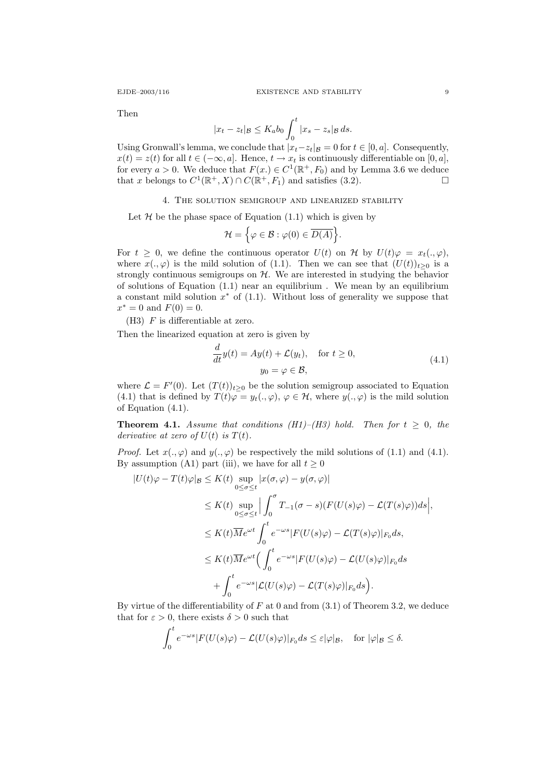Then

$$
|x_t - z_t|_{\mathcal{B}} \le K_a b_0 \int_0^t |x_s - z_s|_{\mathcal{B}} ds.
$$

Using Gronwall's lemma, we conclude that  $|x_t-z_t|_{\mathcal{B}} = 0$  for  $t \in [0, a]$ . Consequently,  $x(t) = z(t)$  for all  $t \in (-\infty, a]$ . Hence,  $t \to x_t$  is continuously differentiable on [0, a], for every  $a > 0$ . We deduce that  $F(x) \in C^1(\mathbb{R}^+, F_0)$  and by Lemma 3.6 we deduce that x belongs to  $C^1(\mathbb{R}^+, X) \cap C(\mathbb{R}^+, F_1)$  and satisfies (3.2).

# 4. The solution semigroup and linearized stability

Let  $H$  be the phase space of Equation (1.1) which is given by

$$
\mathcal{H} = \Big\{ \varphi \in \mathcal{B} : \varphi(0) \in \overline{D(A)} \Big\}.
$$

For  $t \geq 0$ , we define the continuous operator  $U(t)$  on H by  $U(t)\varphi = x_t(.,\varphi),$ where  $x(., \varphi)$  is the mild solution of (1.1). Then we can see that  $(U(t))_{t>0}$  is a strongly continuous semigroups on  $H$ . We are interested in studying the behavior of solutions of Equation (1.1) near an equilibrium . We mean by an equilibrium a constant mild solution  $x^*$  of  $(1.1)$ . Without loss of generality we suppose that  $x^* = 0$  and  $F(0) = 0$ .

 $(H3)$  F is differentiable at zero.

Then the linearized equation at zero is given by

$$
\frac{d}{dt}y(t) = Ay(t) + \mathcal{L}(y_t), \quad \text{for } t \ge 0,
$$
\n
$$
y_0 = \varphi \in \mathcal{B},
$$
\n(4.1)

where  $\mathcal{L} = F'(0)$ . Let  $(T(t))_{t\geq 0}$  be the solution semigroup associated to Equation (4.1) that is defined by  $T(t)\varphi = y_t(.,\varphi), \varphi \in \mathcal{H}$ , where  $y(.,\varphi)$  is the mild solution of Equation (4.1).

**Theorem 4.1.** Assume that conditions (H1)–(H3) hold. Then for  $t \geq 0$ , the derivative at zero of  $U(t)$  is  $T(t)$ .

*Proof.* Let  $x(., \varphi)$  and  $y(., \varphi)$  be respectively the mild solutions of (1.1) and (4.1). By assumption (A1) part (iii), we have for all  $t \geq 0$ 

$$
|U(t)\varphi - T(t)\varphi|_{\mathcal{B}} \leq K(t) \sup_{0 \leq \sigma \leq t} |x(\sigma, \varphi) - y(\sigma, \varphi)|
$$
  
\n
$$
\leq K(t) \sup_{0 \leq \sigma \leq t} \Big| \int_0^{\sigma} T_{-1}(\sigma - s) (F(U(s)\varphi) - \mathcal{L}(T(s)\varphi)) ds \Big|,
$$
  
\n
$$
\leq K(t) \overline{M} e^{\omega t} \int_0^t e^{-\omega s} |F(U(s)\varphi) - \mathcal{L}(T(s)\varphi)|_{F_0} ds,
$$
  
\n
$$
\leq K(t) \overline{M} e^{\omega t} \Big( \int_0^t e^{-\omega s} |F(U(s)\varphi) - \mathcal{L}(U(s)\varphi)|_{F_0} ds \Big)
$$
  
\n
$$
+ \int_0^t e^{-\omega s} |\mathcal{L}(U(s)\varphi) - \mathcal{L}(T(s)\varphi)|_{F_0} ds \Big).
$$

By virtue of the differentiability of  $F$  at 0 and from  $(3.1)$  of Theorem 3.2, we deduce that for  $\varepsilon > 0$ , there exists  $\delta > 0$  such that

$$
\int_0^t e^{-\omega s} |F(U(s)\varphi) - \mathcal{L}(U(s)\varphi)|_{F_0} ds \leq \varepsilon |\varphi|_{\mathcal{B}}, \quad \text{for } |\varphi|_{\mathcal{B}} \leq \delta.
$$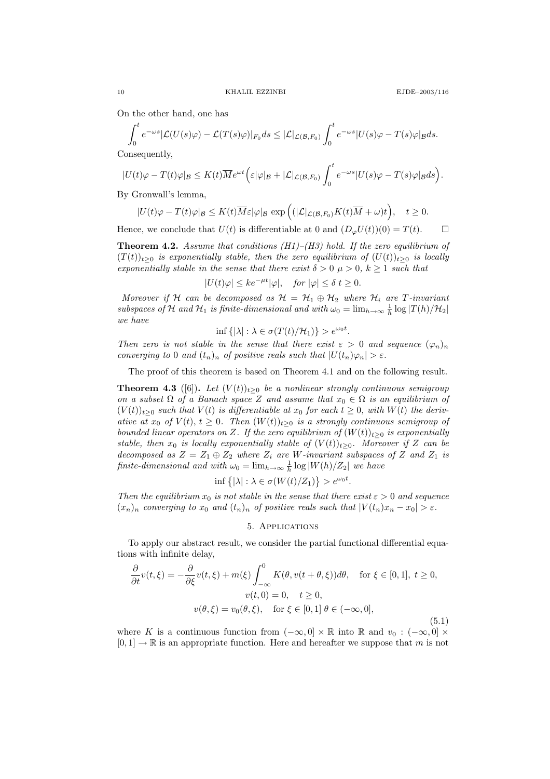On the other hand, one has

$$
\int_0^t e^{-\omega s} |\mathcal{L}(U(s)\varphi) - \mathcal{L}(T(s)\varphi)|_{F_0} ds \le |\mathcal{L}|_{\mathcal{L}(\mathcal{B}, F_0)} \int_0^t e^{-\omega s} |U(s)\varphi - T(s)\varphi|_{\mathcal{B}} ds.
$$

Consequently,

$$
|U(t)\varphi - T(t)\varphi|_{\mathcal{B}} \leq K(t)\overline{M}e^{\omega t} \Big(\varepsilon |\varphi|_{\mathcal{B}} + |\mathcal{L}|_{\mathcal{L}(\mathcal{B},F_0)} \int_0^t e^{-\omega s} |U(s)\varphi - T(s)\varphi|_{\mathcal{B}} ds\Big).
$$

By Gronwall's lemma,

$$
|U(t)\varphi - T(t)\varphi|_{\mathcal{B}} \leq K(t)\overline{M}\varepsilon|\varphi|_{\mathcal{B}} \exp\Big((|\mathcal{L}|_{\mathcal{L}(\mathcal{B},F_0)}K(t)\overline{M} + \omega)t\Big), \quad t \geq 0.
$$

Hence, we conclude that  $U(t)$  is differentiable at 0 and  $(D_{\varphi}U(t))(0) = T(t)$ .

**Theorem 4.2.** Assume that conditions  $(H1)$ – $(H3)$  hold. If the zero equilibrium of  $(T(t))_{t\geq0}$  is exponentially stable, then the zero equilibrium of  $(U(t))_{t\geq0}$  is locally exponentially stable in the sense that there exist  $\delta > 0$   $\mu > 0$ ,  $k \ge 1$  such that

$$
|U(t)\varphi| \leq ke^{-\mu t}|\varphi|, \quad \text{for } |\varphi| \leq \delta \ t \geq 0.
$$

Moreover if H can be decomposed as  $H = H_1 \oplus H_2$  where  $H_i$  are T-invariant subspaces of H and  $H_1$  is finite-dimensional and with  $\omega_0 = \lim_{h \to \infty} \frac{1}{h} \log |T(h)/H_2|$ we have

$$
\inf\left\{|\lambda|:\lambda\in\sigma(T(t)/\mathcal{H}_1)\right\}>e^{\omega_0t}.
$$

Then zero is not stable in the sense that there exist  $\varepsilon > 0$  and sequence  $(\varphi_n)_n$ converging to 0 and  $(t_n)_n$  of positive reals such that  $|U(t_n)\varphi_n| > \varepsilon$ .

The proof of this theorem is based on Theorem 4.1 and on the following result.

**Theorem 4.3** ([6]). Let  $(V(t))_{t>0}$  be a nonlinear strongly continuous semigroup on a subset  $\Omega$  of a Banach space Z and assume that  $x_0 \in \Omega$  is an equilibrium of  $(V(t))_{t>0}$  such that  $V(t)$  is differentiable at  $x_0$  for each  $t \geq 0$ , with  $W(t)$  the derivative at  $x_0$  of  $V(t)$ ,  $t \geq 0$ . Then  $(W(t))_{t>0}$  is a strongly continuous semigroup of bounded linear operators on Z. If the zero equilibrium of  $(W(t))_{t>0}$  is exponentially stable, then  $x_0$  is locally exponentially stable of  $(V(t))_{t\geq0}$ . Moreover if Z can be decomposed as  $Z = Z_1 \oplus Z_2$  where  $Z_i$  are W-invariant subspaces of Z and  $Z_1$  is finite-dimensional and with  $\omega_0 = \lim_{h \to \infty} \frac{1}{h} \log |W(h)/Z_2|$  we have

$$
\inf\left\{|\lambda|:\lambda\in\sigma(W(t)/Z_1)\right\}>e^{\omega_0t}.
$$

Then the equilibrium  $x_0$  is not stable in the sense that there exist  $\varepsilon > 0$  and sequence  $(x_n)_n$  converging to  $x_0$  and  $(t_n)_n$  of positive reals such that  $|V(t_n)x_n - x_0| > \varepsilon$ .

## 5. Applications

To apply our abstract result, we consider the partial functional differential equations with infinite delay,

$$
\frac{\partial}{\partial t}v(t,\xi) = -\frac{\partial}{\partial \xi}v(t,\xi) + m(\xi)\int_{-\infty}^{0} K(\theta, v(t+\theta,\xi))d\theta, \quad \text{for } \xi \in [0,1], \ t \ge 0,
$$

$$
v(t,0) = 0, \quad t \ge 0,
$$

$$
v(\theta,\xi) = v_0(\theta,\xi), \quad \text{for } \xi \in [0,1] \ \theta \in (-\infty,0],
$$

$$
(5.1)
$$

where K is a continuous function from  $(-\infty, 0] \times \mathbb{R}$  into  $\mathbb{R}$  and  $v_0 : (-\infty, 0] \times$  $[0, 1] \rightarrow \mathbb{R}$  is an appropriate function. Here and hereafter we suppose that m is not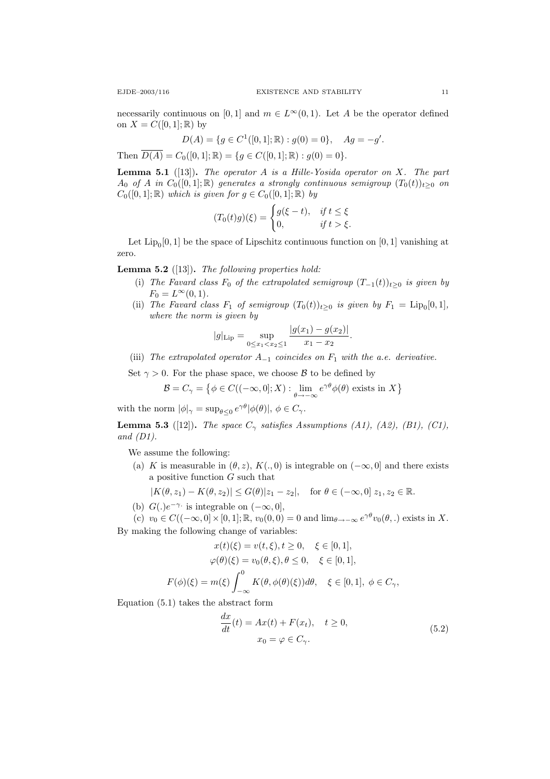necessarily continuous on [0, 1] and  $m \in L^{\infty}(0, 1)$ . Let A be the operator defined on  $X = C([0,1];\mathbb{R})$  by

$$
D(A) = \{ g \in C^1([0,1];\mathbb{R}) : g(0) = 0 \}, \quad Ag = -g'.
$$

Then  $\overline{D(A)} = C_0([0,1];\mathbb{R}) = \{g \in C([0,1];\mathbb{R}) : g(0) = 0\}.$ 

**Lemma 5.1** ([13]). The operator A is a Hille-Yosida operator on X. The part  $A_0$  of A in  $C_0([0,1];\mathbb{R})$  generates a strongly continuous semigroup  $(T_0(t))_{t>0}$  on  $C_0([0,1];\mathbb{R})$  which is given for  $g \in C_0([0,1];\mathbb{R})$  by

$$
(T_0(t)g)(\xi) = \begin{cases} g(\xi - t), & \text{if } t \le \xi \\ 0, & \text{if } t > \xi. \end{cases}
$$

Let  $\text{Lip}_0[0,1]$  be the space of Lipschitz continuous function on  $[0,1]$  vanishing at zero.

**Lemma 5.2** ([13]). The following properties hold:

- (i) The Favard class  $F_0$  of the extrapolated semigroup  $(T_{-1}(t))_{t\geq 0}$  is given by  $F_0 = L^{\infty}(0, 1).$
- (ii) The Favard class  $F_1$  of semigroup  $(T_0(t))_{t\geq 0}$  is given by  $F_1 = \text{Lip}_0[0,1],$ where the norm is given by

$$
|g|_{\text{Lip}} = \sup_{0 \le x_1 < x_2 \le 1} \frac{|g(x_1) - g(x_2)|}{x_1 - x_2}.
$$

(iii) The extrapolated operator  $A_{-1}$  coincides on  $F_1$  with the a.e. derivative.

Set  $\gamma > 0$ . For the phase space, we choose B to be defined by

$$
\mathcal{B} = C_{\gamma} = \{ \phi \in C((-\infty, 0]; X) : \lim_{\theta \to -\infty} e^{\gamma \theta} \phi(\theta) \text{ exists in } X \}
$$

with the norm  $|\phi|_{\gamma} = \sup_{\theta \leq 0} e^{\gamma \theta} |\phi(\theta)|, \phi \in C_{\gamma}$ .

**Lemma 5.3** ([12]). The space  $C_{\gamma}$  satisfies Assumptions (A1), (A2), (B1), (C1), and  $(D1)$ .

We assume the following:

(a) K is measurable in  $(\theta, z)$ ,  $K(., 0)$  is integrable on  $(-\infty, 0]$  and there exists a positive function  $G$  such that

$$
|K(\theta, z_1) - K(\theta, z_2)| \le G(\theta)|z_1 - z_2|, \quad \text{for } \theta \in (-\infty, 0] \ z_1, z_2 \in \mathbb{R}.
$$

- (b)  $G(.)e^{-\gamma}$  is integrable on  $(-\infty,0],$
- (c)  $v_0 \in C((-\infty,0] \times [0,1]; \mathbb{R}, v_0(0,0) = 0$  and  $\lim_{\theta \to -\infty} e^{\gamma \theta} v_0(\theta,.)$  exists in X. By making the following change of variables:

$$
x(t)(\xi) = v(t, \xi), t \ge 0, \quad \xi \in [0, 1],
$$
  

$$
\varphi(\theta)(\xi) = v_0(\theta, \xi), \theta \le 0, \quad \xi \in [0, 1],
$$
  

$$
F(\phi)(\xi) = m(\xi) \int_{-\infty}^0 K(\theta, \phi(\theta)(\xi)) d\theta, \quad \xi \in [0, 1], \phi \in C_{\gamma},
$$

Equation (5.1) takes the abstract form

$$
\frac{dx}{dt}(t) = Ax(t) + F(x_t), \quad t \ge 0,
$$
  
\n
$$
x_0 = \varphi \in C_{\gamma}.
$$
\n(5.2)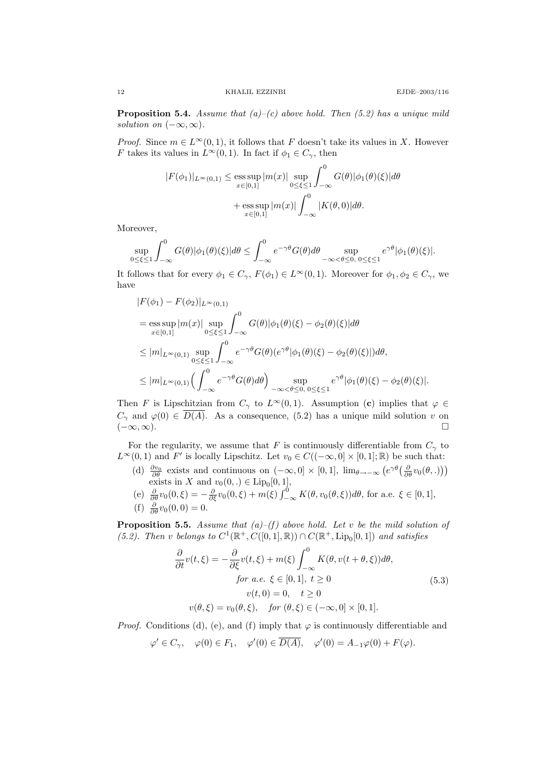**Proposition 5.4.** Assume that  $(a)-(c)$  above hold. Then  $(5.2)$  has a unique mild solution on  $(-\infty, \infty)$ .

*Proof.* Since  $m \in L^{\infty}(0, 1)$ , it follows that F doesn't take its values in X. However F takes its values in  $L^{\infty}(0, 1)$ . In fact if  $\phi_1 \in C_{\gamma}$ , then

$$
|F(\phi_1)|_{L^{\infty}(0,1)} \le \underset{x \in [0,1]}{\text{ess sup}} |m(x)| \underset{0 \le \xi \le 1}{\text{sup}} \int_{-\infty}^{0} G(\theta)|\phi_1(\theta)(\xi)| d\theta
$$

$$
+ \underset{x \in [0,1]}{\text{ess sup}} |m(x)| \int_{-\infty}^{0} |K(\theta,0)| d\theta.
$$

Moreover,

$$
\sup_{0\leq\xi\leq 1}\int_{-\infty}^0 G(\theta)|\phi_1(\theta)(\xi)|d\theta\leq \int_{-\infty}^0 e^{-\gamma\theta}G(\theta)d\theta\sup_{-\infty<\theta\leq 0,\ 0\leq\xi\leq 1}e^{\gamma\theta}|\phi_1(\theta)(\xi)|.
$$

It follows that for every  $\phi_1 \in C_\gamma$ ,  $F(\phi_1) \in L^\infty(0,1)$ . Moreover for  $\phi_1, \phi_2 \in C_\gamma$ , we have

$$
|F(\phi_1) - F(\phi_2)|_{L^{\infty}(0,1)}
$$
  
\n
$$
= \operatorname{ess} \sup_{x \in [0,1]} |m(x)| \sup_{0 \le \xi \le 1} \int_{-\infty}^{0} G(\theta)|\phi_1(\theta)(\xi) - \phi_2(\theta)(\xi)| d\theta
$$
  
\n
$$
\le |m|_{L^{\infty}(0,1)} \sup_{0 \le \xi \le 1} \int_{-\infty}^{0} e^{-\gamma \theta} G(\theta)(e^{\gamma \theta}|\phi_1(\theta)(\xi) - \phi_2(\theta)(\xi)|) d\theta,
$$
  
\n
$$
\le |m|_{L^{\infty}(0,1)} \Big(\int_{-\infty}^{0} e^{-\gamma \theta} G(\theta) d\theta\Big) \sup_{-\infty < \theta \le 0, 0 \le \xi \le 1} e^{\gamma \theta} |\phi_1(\theta)(\xi) - \phi_2(\theta)(\xi)|.
$$

Then F is Lipschitzian from  $C_\gamma$  to  $L^\infty(0,1)$ . Assumption (c) implies that  $\varphi \in$  $C_{\gamma}$  and  $\varphi(0) \in \overline{D(A)}$ . As a consequence, (5.2) has a unique mild solution v on  $(-\infty,\infty)$ . □

For the regularity, we assume that F is continuously differentiable from  $C_{\gamma}$  to  $L^{\infty}(0,1)$  and F' is locally Lipschitz. Let  $v_0 \in C((-\infty,0] \times [0,1];\mathbb{R})$  be such that:

- (d)  $\frac{\partial v_0}{\partial \theta}$  exists and continuous on  $(-\infty, 0] \times [0, 1]$ ,  $\lim_{\theta \to -\infty} (e^{\gamma \theta} \left( \frac{\partial}{\partial \theta} v_0(\theta, .) \right))$ exists in X and  $v_0(0,.) \in \text{Lip}_0[0,1],$
- (e)  $\frac{\partial}{\partial \theta}v_0(0,\xi) = -\frac{\partial}{\partial \xi}v_0(0,\xi) + m(\xi)\int_{-\infty}^0 K(\theta,v_0(\theta,\xi))d\theta$ , for a.e.  $\xi \in [0,1],$ (f)  $\frac{\partial}{\partial \theta} v_0(0,0) = 0.$

**Proposition 5.5.** Assume that  $(a)$ – $(f)$  above hold. Let v be the mild solution of (5.2). Then v belongs to  $C^1(\mathbb{R}^+, C([0,1], \mathbb{R})) \cap C(\mathbb{R}^+, \text{Lip}_0[0,1])$  and satisfies

$$
\frac{\partial}{\partial t}v(t,\xi) = -\frac{\partial}{\partial \xi}v(t,\xi) + m(\xi)\int_{-\infty}^{0} K(\theta, v(t+\theta,\xi))d\theta,
$$
  
\nfor a.e.  $\xi \in [0,1], t \ge 0$   
\n
$$
v(t,0) = 0, \quad t \ge 0
$$
  
\n
$$
v(\theta,\xi) = v_0(\theta,\xi), \quad \text{for } (\theta,\xi) \in (-\infty,0] \times [0,1].
$$
\n(5.3)

*Proof.* Conditions (d), (e), and (f) imply that  $\varphi$  is continuously differentiable and

$$
\varphi' \in C_{\gamma}, \quad \varphi(0) \in F_1, \quad \varphi'(0) \in \overline{D(A)}, \quad \varphi'(0) = A_{-1}\varphi(0) + F(\varphi).
$$